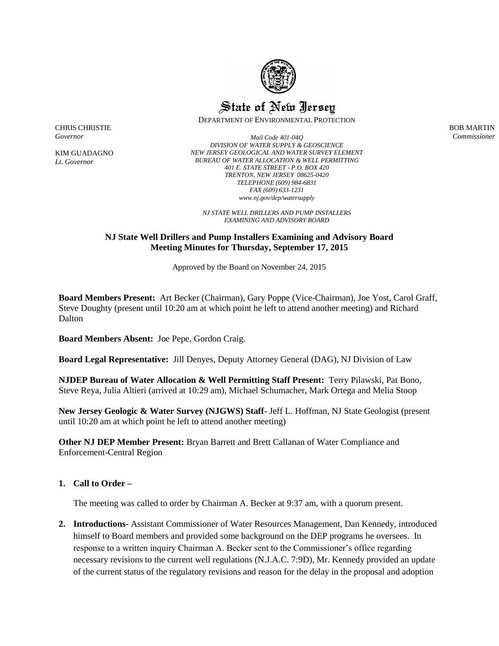

# State of New Jersey

DEPARTMENT OF ENVIRONMENTAL PROTECTION

BOB MARTIN *Commissioner*

CHRIS CHRISTIE *Governor*

KIM GUADAGNO *Lt. Governor*

*Mail Code 401-04Q DIVISION OF WATER SUPPLY & GEOSCIENCE NEW JERSEY GEOLOGICAL AND WATER SURVEY ELEMENT BUREAU OF WATER ALLOCATION & WELL PERMITTING 401 E. STATE STREET - P.O. BOX 420 TRENTON, NEW JERSEY 08625-0420 TELEPHONE (609) 984-6831 FAX (609) 633-1231 www.nj.gov/dep/watersupply*

*NJ STATE WELL DRILLERS AND PUMP INSTALLERS EXAMINING AND ADVISORY BOARD*

## **NJ State Well Drillers and Pump Installers Examining and Advisory Board Meeting Minutes for Thursday, September 17, 2015**

Approved by the Board on November 24, 2015

**Board Members Present:** Art Becker (Chairman), Gary Poppe (Vice-Chairman), Joe Yost, Carol Graff, Steve Doughty (present until 10:20 am at which point he left to attend another meeting) and Richard Dalton

**Board Members Absent:** Joe Pepe, Gordon Craig.

**Board Legal Representative:** Jill Denyes, Deputy Attorney General (DAG), NJ Division of Law

**NJDEP Bureau of Water Allocation & Well Permitting Staff Present:** Terry Pilawski, Pat Bono, Steve Reya, Julia Altieri (arrived at 10:29 am), Michael Schumacher, Mark Ortega and Melia Stoop

**New Jersey Geologic & Water Survey (NJGWS) Staff**- Jeff L. Hoffman, NJ State Geologist (present until 10:20 am at which point he left to attend another meeting)

**Other NJ DEP Member Present:** Bryan Barrett and Brett Callanan of Water Compliance and Enforcement-Central Region

#### **1. Call to Order –**

The meeting was called to order by Chairman A. Becker at 9:37 am, with a quorum present.

**2. Introductions-** Assistant Commissioner of Water Resources Management, Dan Kennedy, introduced himself to Board members and provided some background on the DEP programs he oversees. In response to a written inquiry Chairman A. Becker sent to the Commissioner's office regarding necessary revisions to the current well regulations (N.J.A.C. 7:9D), Mr. Kennedy provided an update of the current status of the regulatory revisions and reason for the delay in the proposal and adoption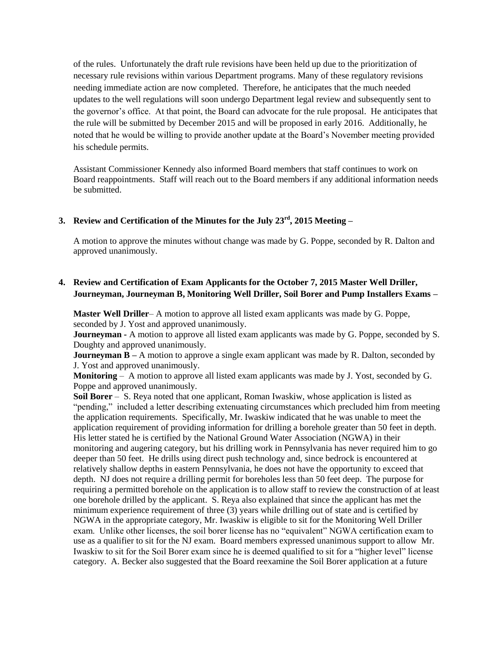of the rules. Unfortunately the draft rule revisions have been held up due to the prioritization of necessary rule revisions within various Department programs. Many of these regulatory revisions needing immediate action are now completed. Therefore, he anticipates that the much needed updates to the well regulations will soon undergo Department legal review and subsequently sent to the governor's office. At that point, the Board can advocate for the rule proposal. He anticipates that the rule will be submitted by December 2015 and will be proposed in early 2016. Additionally, he noted that he would be willing to provide another update at the Board's November meeting provided his schedule permits.

Assistant Commissioner Kennedy also informed Board members that staff continues to work on Board reappointments. Staff will reach out to the Board members if any additional information needs be submitted.

## **3. Review and Certification of the Minutes for the July 23rd, 2015 Meeting –**

A motion to approve the minutes without change was made by G. Poppe, seconded by R. Dalton and approved unanimously.

## **4. Review and Certification of Exam Applicants for the October 7, 2015 Master Well Driller, Journeyman, Journeyman B, Monitoring Well Driller, Soil Borer and Pump Installers Exams –**

**Master Well Driller**– A motion to approve all listed exam applicants was made by G. Poppe, seconded by J. Yost and approved unanimously.

**Journeyman -** A motion to approve all listed exam applicants was made by G. Poppe, seconded by S. Doughty and approved unanimously.

**Journeyman B** – A motion to approve a single exam applicant was made by R. Dalton, seconded by J. Yost and approved unanimously.

**Monitoring** – A motion to approve all listed exam applicants was made by J. Yost, seconded by G. Poppe and approved unanimously.

**Soil Borer** – S. Reya noted that one applicant, Roman Iwaskiw, whose application is listed as "pending," included a letter describing extenuating circumstances which precluded him from meeting the application requirements. Specifically, Mr. Iwaskiw indicated that he was unable to meet the application requirement of providing information for drilling a borehole greater than 50 feet in depth. His letter stated he is certified by the National Ground Water Association (NGWA) in their monitoring and augering category, but his drilling work in Pennsylvania has never required him to go deeper than 50 feet. He drills using direct push technology and, since bedrock is encountered at relatively shallow depths in eastern Pennsylvania, he does not have the opportunity to exceed that depth. NJ does not require a drilling permit for boreholes less than 50 feet deep. The purpose for requiring a permitted borehole on the application is to allow staff to review the construction of at least one borehole drilled by the applicant. S. Reya also explained that since the applicant has met the minimum experience requirement of three (3) years while drilling out of state and is certified by NGWA in the appropriate category, Mr. Iwaskiw is eligible to sit for the Monitoring Well Driller exam. Unlike other licenses, the soil borer license has no "equivalent" NGWA certification exam to use as a qualifier to sit for the NJ exam. Board members expressed unanimous support to allow Mr. Iwaskiw to sit for the Soil Borer exam since he is deemed qualified to sit for a "higher level" license category. A. Becker also suggested that the Board reexamine the Soil Borer application at a future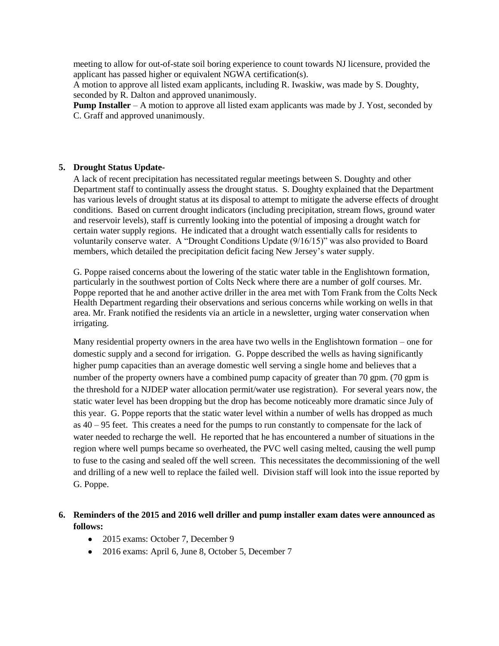meeting to allow for out-of-state soil boring experience to count towards NJ licensure, provided the applicant has passed higher or equivalent NGWA certification(s).

A motion to approve all listed exam applicants, including R. Iwaskiw, was made by S. Doughty, seconded by R. Dalton and approved unanimously.

**Pump Installer** – A motion to approve all listed exam applicants was made by J. Yost, seconded by C. Graff and approved unanimously.

#### **5. Drought Status Update-**

A lack of recent precipitation has necessitated regular meetings between S. Doughty and other Department staff to continually assess the drought status. S. Doughty explained that the Department has various levels of drought status at its disposal to attempt to mitigate the adverse effects of drought conditions. Based on current drought indicators (including precipitation, stream flows, ground water and reservoir levels), staff is currently looking into the potential of imposing a drought watch for certain water supply regions. He indicated that a drought watch essentially calls for residents to voluntarily conserve water. A "Drought Conditions Update (9/16/15)" was also provided to Board members, which detailed the precipitation deficit facing New Jersey's water supply.

G. Poppe raised concerns about the lowering of the static water table in the Englishtown formation, particularly in the southwest portion of Colts Neck where there are a number of golf courses. Mr. Poppe reported that he and another active driller in the area met with Tom Frank from the Colts Neck Health Department regarding their observations and serious concerns while working on wells in that area. Mr. Frank notified the residents via an article in a newsletter, urging water conservation when irrigating.

Many residential property owners in the area have two wells in the Englishtown formation – one for domestic supply and a second for irrigation. G. Poppe described the wells as having significantly higher pump capacities than an average domestic well serving a single home and believes that a number of the property owners have a combined pump capacity of greater than 70 gpm. (70 gpm is the threshold for a NJDEP water allocation permit/water use registration). For several years now, the static water level has been dropping but the drop has become noticeably more dramatic since July of this year. G. Poppe reports that the static water level within a number of wells has dropped as much as 40 – 95 feet. This creates a need for the pumps to run constantly to compensate for the lack of water needed to recharge the well. He reported that he has encountered a number of situations in the region where well pumps became so overheated, the PVC well casing melted, causing the well pump to fuse to the casing and sealed off the well screen. This necessitates the decommissioning of the well and drilling of a new well to replace the failed well. Division staff will look into the issue reported by G. Poppe.

## **6. Reminders of the 2015 and 2016 well driller and pump installer exam dates were announced as follows:**

- 2015 exams: October 7, December 9
- 2016 exams: April 6, June 8, October 5, December 7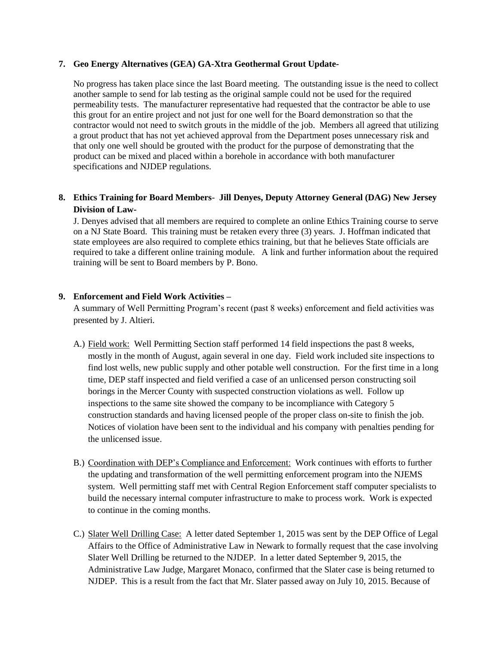#### **7. Geo Energy Alternatives (GEA) GA-Xtra Geothermal Grout Update-**

No progress has taken place since the last Board meeting. The outstanding issue is the need to collect another sample to send for lab testing as the original sample could not be used for the required permeability tests. The manufacturer representative had requested that the contractor be able to use this grout for an entire project and not just for one well for the Board demonstration so that the contractor would not need to switch grouts in the middle of the job. Members all agreed that utilizing a grout product that has not yet achieved approval from the Department poses unnecessary risk and that only one well should be grouted with the product for the purpose of demonstrating that the product can be mixed and placed within a borehole in accordance with both manufacturer specifications and NJDEP regulations.

## **8. Ethics Training for Board Members**- **Jill Denyes, Deputy Attorney General (DAG) New Jersey Division of Law-**

J. Denyes advised that all members are required to complete an online Ethics Training course to serve on a NJ State Board. This training must be retaken every three (3) years. J. Hoffman indicated that state employees are also required to complete ethics training, but that he believes State officials are required to take a different online training module. A link and further information about the required training will be sent to Board members by P. Bono.

#### **9. Enforcement and Field Work Activities –**

A summary of Well Permitting Program's recent (past 8 weeks) enforcement and field activities was presented by J. Altieri.

- A.) Field work: Well Permitting Section staff performed 14 field inspections the past 8 weeks, mostly in the month of August, again several in one day. Field work included site inspections to find lost wells, new public supply and other potable well construction. For the first time in a long time, DEP staff inspected and field verified a case of an unlicensed person constructing soil borings in the Mercer County with suspected construction violations as well. Follow up inspections to the same site showed the company to be incompliance with Category 5 construction standards and having licensed people of the proper class on-site to finish the job. Notices of violation have been sent to the individual and his company with penalties pending for the unlicensed issue.
- B.) Coordination with DEP's Compliance and Enforcement: Work continues with efforts to further the updating and transformation of the well permitting enforcement program into the NJEMS system. Well permitting staff met with Central Region Enforcement staff computer specialists to build the necessary internal computer infrastructure to make to process work. Work is expected to continue in the coming months.
- C.) Slater Well Drilling Case: A letter dated September 1, 2015 was sent by the DEP Office of Legal Affairs to the Office of Administrative Law in Newark to formally request that the case involving Slater Well Drilling be returned to the NJDEP. In a letter dated September 9, 2015, the Administrative Law Judge, Margaret Monaco, confirmed that the Slater case is being returned to NJDEP. This is a result from the fact that Mr. Slater passed away on July 10, 2015. Because of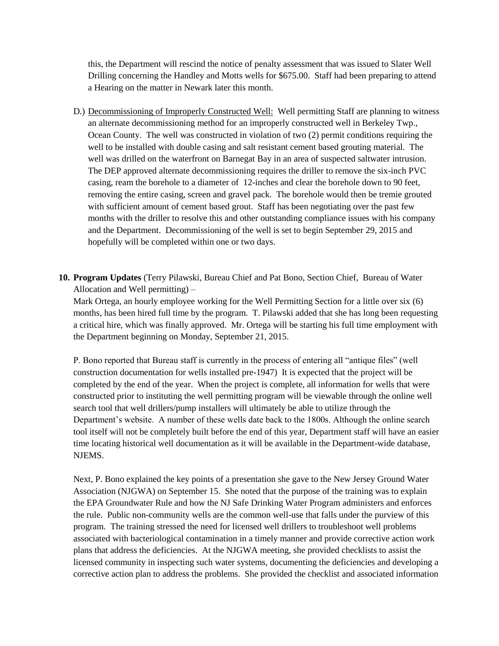this, the Department will rescind the notice of penalty assessment that was issued to Slater Well Drilling concerning the Handley and Motts wells for \$675.00. Staff had been preparing to attend a Hearing on the matter in Newark later this month.

- D.) Decommissioning of Improperly Constructed Well: Well permitting Staff are planning to witness an alternate decommissioning method for an improperly constructed well in Berkeley Twp., Ocean County. The well was constructed in violation of two (2) permit conditions requiring the well to be installed with double casing and salt resistant cement based grouting material. The well was drilled on the waterfront on Barnegat Bay in an area of suspected saltwater intrusion. The DEP approved alternate decommissioning requires the driller to remove the six-inch PVC casing, ream the borehole to a diameter of 12-inches and clear the borehole down to 90 feet, removing the entire casing, screen and gravel pack. The borehole would then be tremie grouted with sufficient amount of cement based grout. Staff has been negotiating over the past few months with the driller to resolve this and other outstanding compliance issues with his company and the Department. Decommissioning of the well is set to begin September 29, 2015 and hopefully will be completed within one or two days.
- **10. Program Updates** (Terry Pilawski, Bureau Chief and Pat Bono, Section Chief, Bureau of Water Allocation and Well permitting) –

Mark Ortega, an hourly employee working for the Well Permitting Section for a little over six (6) months, has been hired full time by the program. T. Pilawski added that she has long been requesting a critical hire, which was finally approved. Mr. Ortega will be starting his full time employment with the Department beginning on Monday, September 21, 2015.

P. Bono reported that Bureau staff is currently in the process of entering all "antique files" (well construction documentation for wells installed pre-1947) It is expected that the project will be completed by the end of the year. When the project is complete, all information for wells that were constructed prior to instituting the well permitting program will be viewable through the online well search tool that well drillers/pump installers will ultimately be able to utilize through the Department's website. A number of these wells date back to the 1800s. Although the online search tool itself will not be completely built before the end of this year, Department staff will have an easier time locating historical well documentation as it will be available in the Department-wide database, NJEMS.

Next, P. Bono explained the key points of a presentation she gave to the New Jersey Ground Water Association (NJGWA) on September 15. She noted that the purpose of the training was to explain the EPA Groundwater Rule and how the NJ Safe Drinking Water Program administers and enforces the rule. Public non-community wells are the common well-use that falls under the purview of this program. The training stressed the need for licensed well drillers to troubleshoot well problems associated with bacteriological contamination in a timely manner and provide corrective action work plans that address the deficiencies. At the NJGWA meeting, she provided checklists to assist the licensed community in inspecting such water systems, documenting the deficiencies and developing a corrective action plan to address the problems. She provided the checklist and associated information